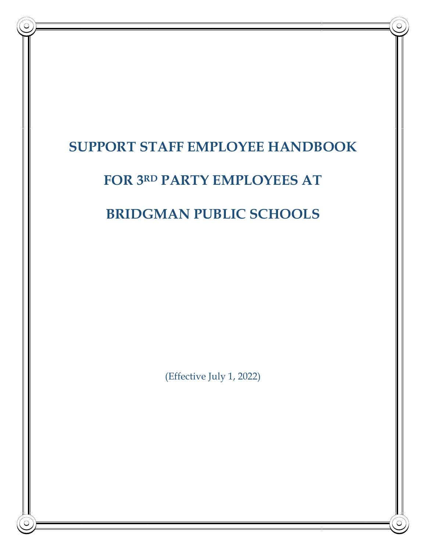# **SUPPORT STAFF EMPLOYEE HANDBOOK**

# **FOR 3 RD PARTY EMPLOYEES AT**

# **BRIDGMAN PUBLIC SCHOOLS**

(Effective July 1, 2022)

1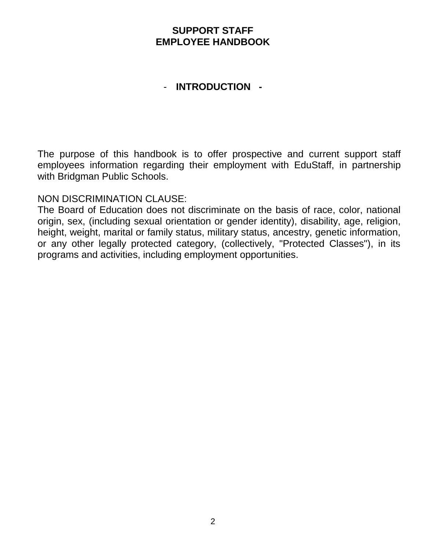## **SUPPORT STAFF EMPLOYEE HANDBOOK**

## - **INTRODUCTION -**

The purpose of this handbook is to offer prospective and current support staff employees information regarding their employment with EduStaff, in partnership with Bridgman Public Schools.

## NON DISCRIMINATION CLAUSE:

The Board of Education does not discriminate on the basis of race, color, national origin, sex, (including sexual orientation or gender identity), disability, age, religion, height, weight, marital or family status, military status, ancestry, genetic information, or any other legally protected category, (collectively, "Protected Classes"), in its programs and activities, including employment opportunities.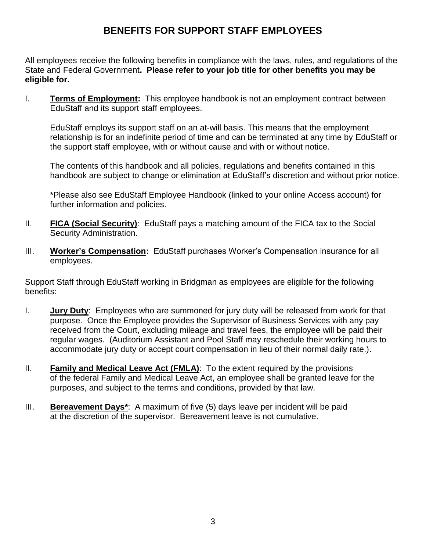# **BENEFITS FOR SUPPORT STAFF EMPLOYEES**

All employees receive the following benefits in compliance with the laws, rules, and regulations of the State and Federal Government**. Please refer to your job title for other benefits you may be eligible for.**

I. **Terms of Employment:** This employee handbook is not an employment contract between EduStaff and its support staff employees.

EduStaff employs its support staff on an at-will basis. This means that the employment relationship is for an indefinite period of time and can be terminated at any time by EduStaff or the support staff employee, with or without cause and with or without notice.

The contents of this handbook and all policies, regulations and benefits contained in this handbook are subject to change or elimination at EduStaff's discretion and without prior notice.

\*Please also see EduStaff Employee Handbook (linked to your online Access account) for further information and policies.

- II. **FICA (Social Security)**: EduStaff pays a matching amount of the FICA tax to the Social Security Administration.
- III. **Worker's Compensation:** EduStaff purchases Worker's Compensation insurance for all employees.

Support Staff through EduStaff working in Bridgman as employees are eligible for the following benefits:

- I. **Jury Duty**: Employees who are summoned for jury duty will be released from work for that purpose. Once the Employee provides the Supervisor of Business Services with any pay received from the Court, excluding mileage and travel fees, the employee will be paid their regular wages. (Auditorium Assistant and Pool Staff may reschedule their working hours to accommodate jury duty or accept court compensation in lieu of their normal daily rate.).
- II. **Family and Medical Leave Act (FMLA)**: To the extent required by the provisions of the federal Family and Medical Leave Act, an employee shall be granted leave for the purposes, and subject to the terms and conditions, provided by that law.
- III. **Bereavement Days\***: A maximum of five (5) days leave per incident will be paid at the discretion of the supervisor. Bereavement leave is not cumulative.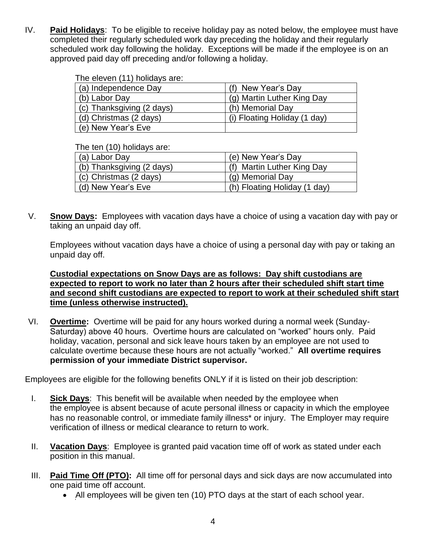IV. **Paid Holidays**: To be eligible to receive holiday pay as noted below, the employee must have completed their regularly scheduled work day preceding the holiday and their regularly scheduled work day following the holiday. Exceptions will be made if the employee is on an approved paid day off preceding and/or following a holiday.

#### The eleven (11) holidays are:

| (a) Independence Day      | (f) New Year's Day           |
|---------------------------|------------------------------|
| (b) Labor Day             | (g) Martin Luther King Day   |
| (c) Thanksgiving (2 days) | (h) Memorial Day             |
| (d) Christmas (2 days)    | (i) Floating Holiday (1 day) |
| (e) New Year's Eve        |                              |

The ten (10) holidays are:

| (a) Labor Day             | (e) New Year's Day           |
|---------------------------|------------------------------|
| (b) Thanksgiving (2 days) | (f) Martin Luther King Day   |
| (c) Christmas (2 days)    | (g) Memorial Day             |
| (d) New Year's Eve        | (h) Floating Holiday (1 day) |

V. **Snow Days:** Employees with vacation days have a choice of using a vacation day with pay or taking an unpaid day off.

Employees without vacation days have a choice of using a personal day with pay or taking an unpaid day off.

#### **Custodial expectations on Snow Days are as follows: Day shift custodians are expected to report to work no later than 2 hours after their scheduled shift start time and second shift custodians are expected to report to work at their scheduled shift start time (unless otherwise instructed).**

VI. **Overtime:** Overtime will be paid for any hours worked during a normal week (Sunday-Saturday) above 40 hours. Overtime hours are calculated on "worked" hours only. Paid holiday, vacation, personal and sick leave hours taken by an employee are not used to calculate overtime because these hours are not actually "worked." **All overtime requires permission of your immediate District supervisor.**

Employees are eligible for the following benefits ONLY if it is listed on their job description:

- I. **Sick Days**: This benefit will be available when needed by the employee when the employee is absent because of acute personal illness or capacity in which the employee has no reasonable control, or immediate family illness<sup>\*</sup> or injury. The Employer may require verification of illness or medical clearance to return to work.
- II. **Vacation Days**: Employee is granted paid vacation time off of work as stated under each position in this manual.
- III. **Paid Time Off (PTO):** All time off for personal days and sick days are now accumulated into one paid time off account.
	- All employees will be given ten (10) PTO days at the start of each school year.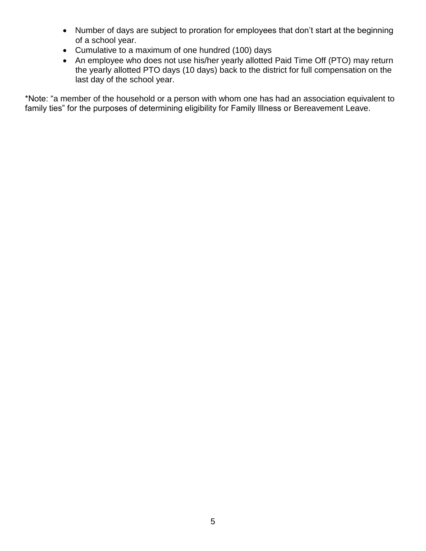- Number of days are subject to proration for employees that don't start at the beginning of a school year.
- Cumulative to a maximum of one hundred (100) days
- An employee who does not use his/her yearly allotted Paid Time Off (PTO) may return the yearly allotted PTO days (10 days) back to the district for full compensation on the last day of the school year.

\*Note: "a member of the household or a person with whom one has had an association equivalent to family ties" for the purposes of determining eligibility for Family Illness or Bereavement Leave.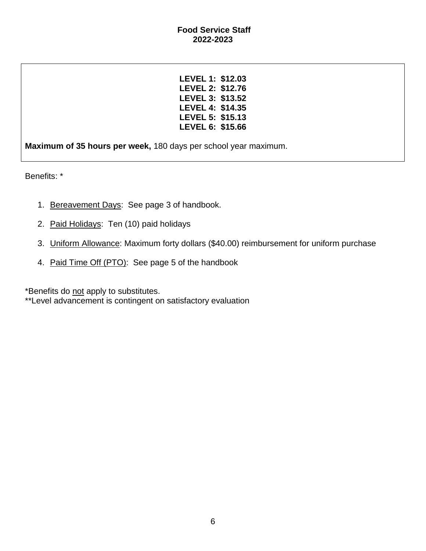**LEVEL 1: \$12.03 LEVEL 2: \$12.76 LEVEL 3: \$13.52 LEVEL 4: \$14.35 LEVEL 5: \$15.13 LEVEL 6: \$15.66**

**Maximum of 35 hours per week,** 180 days per school year maximum.

Benefits: \*

- 1. Bereavement Days: See page 3 of handbook.
- 2. Paid Holidays: Ten (10) paid holidays
- 3. Uniform Allowance: Maximum forty dollars (\$40.00) reimbursement for uniform purchase
- 4. Paid Time Off (PTO): See page 5 of the handbook

\*Benefits do not apply to substitutes.

\*\*Level advancement is contingent on satisfactory evaluation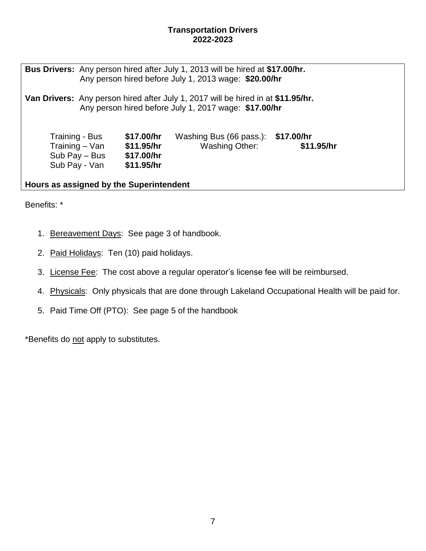#### **Transportation Drivers 2022-2023**

**Bus Drivers:** Any person hired after July 1, 2013 will be hired at **\$17.00/hr.** Any person hired before July 1, 2013 wage: **\$20.00/hr**

**Van Drivers:** Any person hired after July 1, 2017 will be hired in at **\$11.95/hr.** Any person hired before July 1, 2017 wage: **\$17.00/hr**

| Training - Bus                 | \$17.00/hr               | Washing Bus (66 pass.): \$17.00/hr | \$11.95/hr |
|--------------------------------|--------------------------|------------------------------------|------------|
| Training – Van                 | \$11.95/hr               | <b>Washing Other:</b>              |            |
| Sub Pay – Bus<br>Sub Pay - Van | \$17.00/hr<br>\$11.95/hr |                                    |            |

**Hours as assigned by the Superintendent**

Benefits: \*

- 1. Bereavement Days: See page 3 of handbook.
- 2. Paid Holidays: Ten (10) paid holidays.
- 3. License Fee: The cost above a regular operator's license fee will be reimbursed.
- 4. Physicals: Only physicals that are done through Lakeland Occupational Health will be paid for.
- 5. Paid Time Off (PTO): See page 5 of the handbook

\*Benefits do not apply to substitutes.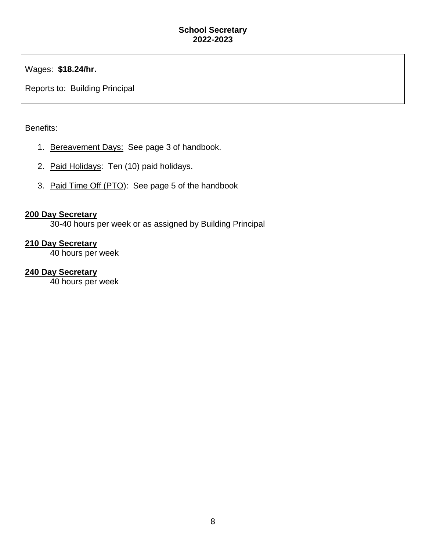Wages: **\$18.24/hr.**

Reports to: Building Principal

### Benefits:

- 1. Bereavement Days: See page 3 of handbook.
- 2. Paid Holidays: Ten (10) paid holidays.
- 3. Paid Time Off (PTO): See page 5 of the handbook

### **200 Day Secretary**

30-40 hours per week or as assigned by Building Principal

### **210 Day Secretary**

40 hours per week

## **240 Day Secretary**

40 hours per week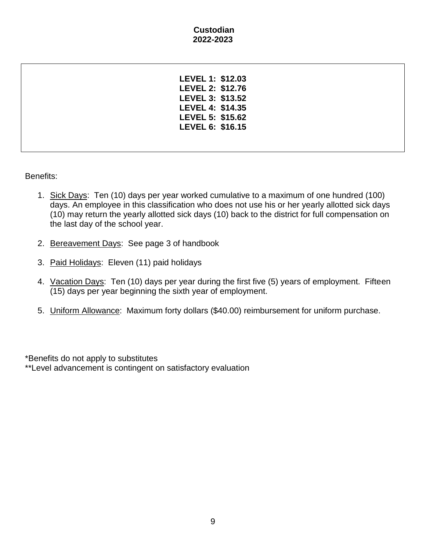#### **Custodian 2022-2023**

| LEVEL 1: \$12.03 |  |
|------------------|--|
| LEVEL 2: \$12.76 |  |
| LEVEL 3: \$13.52 |  |
| LEVEL 4: \$14.35 |  |
| LEVEL 5: \$15.62 |  |
| LEVEL 6: \$16.15 |  |
|                  |  |
|                  |  |

Benefits:

- 1. Sick Days: Ten (10) days per year worked cumulative to a maximum of one hundred (100) days. An employee in this classification who does not use his or her yearly allotted sick days (10) may return the yearly allotted sick days (10) back to the district for full compensation on the last day of the school year.
- 2. Bereavement Days: See page 3 of handbook
- 3. Paid Holidays: Eleven (11) paid holidays
- 4. Vacation Days: Ten (10) days per year during the first five (5) years of employment. Fifteen (15) days per year beginning the sixth year of employment.
- 5. Uniform Allowance: Maximum forty dollars (\$40.00) reimbursement for uniform purchase.

\*Benefits do not apply to substitutes \*\*Level advancement is contingent on satisfactory evaluation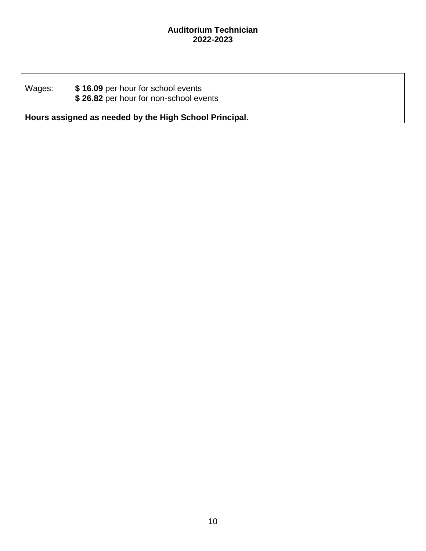#### **Auditorium Technician 2022-2023**

## Wages: **\$ 16.09** per hour for school events **\$ 26.82** per hour for non-school events

**Hours assigned as needed by the High School Principal.**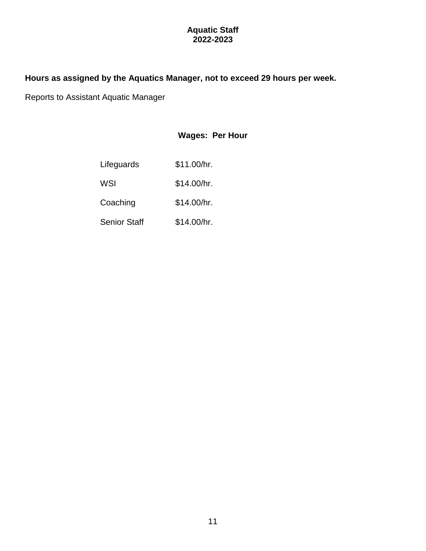### **Aquatic Staff 2022-2023**

## **Hours as assigned by the Aquatics Manager, not to exceed 29 hours per week.**

Reports to Assistant Aquatic Manager

# **Wages: Per Hour**

| Lifeguards          | \$11.00/hr. |
|---------------------|-------------|
| WSI                 | \$14.00/hr. |
| Coaching            | \$14.00/hr. |
| <b>Senior Staff</b> | \$14.00/hr. |